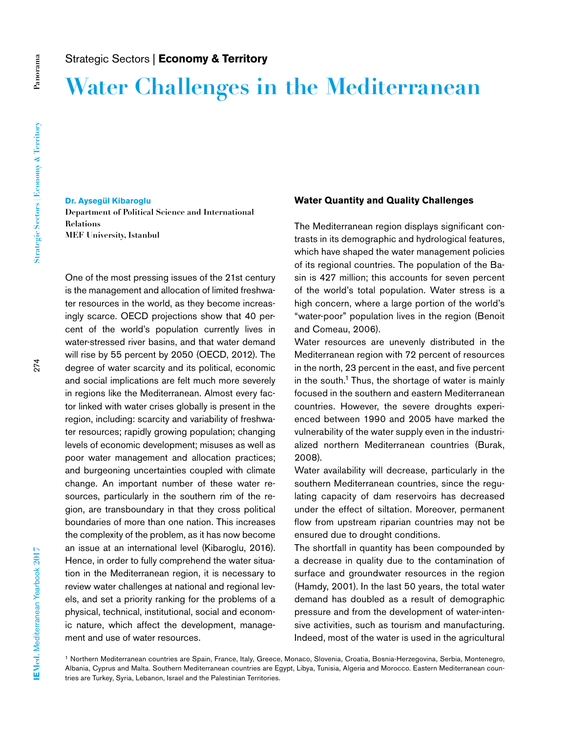# **Water Challenges in the Mediterranean**

#### **Dr. Aysegül Kibaroglu**

**Department of Political Science and International Relations MEF University, Istanbul**

One of the most pressing issues of the 21st century is the management and allocation of limited freshwater resources in the world, as they become increasingly scarce. OECD projections show that 40 percent of the world's population currently lives in water-stressed river basins, and that water demand will rise by 55 percent by 2050 (OECD, 2012). The degree of water scarcity and its political, economic and social implications are felt much more severely in regions like the Mediterranean. Almost every factor linked with water crises globally is present in the region, including: scarcity and variability of freshwater resources; rapidly growing population; changing levels of economic development; misuses as well as poor water management and allocation practices; and burgeoning uncertainties coupled with climate change. An important number of these water resources, particularly in the southern rim of the region, are transboundary in that they cross political boundaries of more than one nation. This increases the complexity of the problem, as it has now become an issue at an international level (Kibaroglu, 2016). Hence, in order to fully comprehend the water situation in the Mediterranean region, it is necessary to review water challenges at national and regional levels, and set a priority ranking for the problems of a physical, technical, institutional, social and economic nature, which affect the development, management and use of water resources.

### **Water Quantity and Quality Challenges**

The Mediterranean region displays significant contrasts in its demographic and hydrological features, which have shaped the water management policies of its regional countries. The population of the Basin is 427 million; this accounts for seven percent of the world's total population. Water stress is a high concern, where a large portion of the world's "water-poor" population lives in the region (Benoit and Comeau, 2006).

Water resources are unevenly distributed in the Mediterranean region with 72 percent of resources in the north, 23 percent in the east, and five percent in the south.<sup>1</sup> Thus, the shortage of water is mainly focused in the southern and eastern Mediterranean countries. However, the severe droughts experienced between 1990 and 2005 have marked the vulnerability of the water supply even in the industrialized northern Mediterranean countries (Burak, 2008).

Water availability will decrease, particularly in the southern Mediterranean countries, since the regulating capacity of dam reservoirs has decreased under the effect of siltation. Moreover, permanent flow from upstream riparian countries may not be ensured due to drought conditions.

The shortfall in quantity has been compounded by a decrease in quality due to the contamination of surface and groundwater resources in the region (Hamdy, 2001). In the last 50 years, the total water demand has doubled as a result of demographic pressure and from the development of water-intensive activities, such as tourism and manufacturing. Indeed, most of the water is used in the agricultural

1 Northern Mediterranean countries are Spain, France, Italy, Greece, Monaco, Slovenia, Croatia, Bosnia-Herzegovina, Serbia, Montenegro, Albania, Cyprus and Malta. Southern Mediterranean countries are Egypt, Libya, Tunisia, Algeria and Morocco. Eastern Mediterranean countries are Turkey, Syria, Lebanon, Israel and the Palestinian Territories.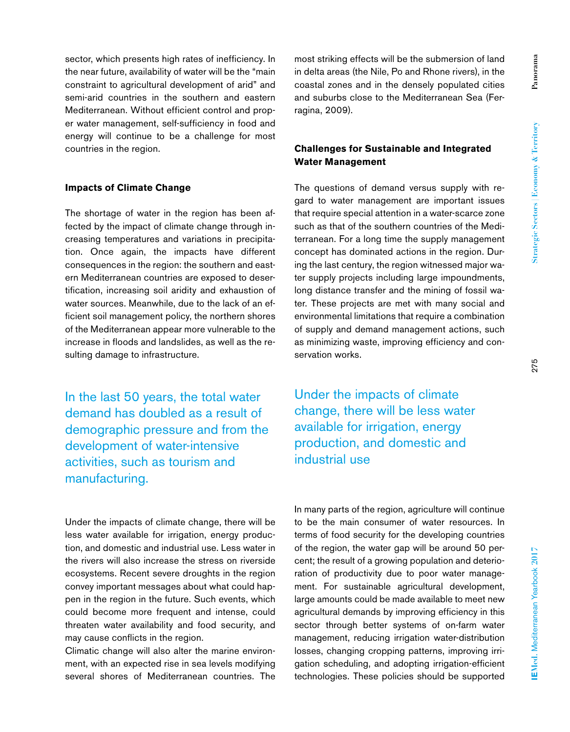sector, which presents high rates of inefficiency. In the near future, availability of water will be the "main constraint to agricultural development of arid" and semi-arid countries in the southern and eastern Mediterranean. Without efficient control and proper water management, self-sufficiency in food and energy will continue to be a challenge for most countries in the region.

#### **Impacts of Climate Change**

The shortage of water in the region has been affected by the impact of climate change through increasing temperatures and variations in precipitation. Once again, the impacts have different consequences in the region: the southern and eastern Mediterranean countries are exposed to desertification, increasing soil aridity and exhaustion of water sources. Meanwhile, due to the lack of an efficient soil management policy, the northern shores of the Mediterranean appear more vulnerable to the increase in floods and landslides, as well as the resulting damage to infrastructure.

In the last 50 years, the total water demand has doubled as a result of demographic pressure and from the development of water-intensive activities, such as tourism and manufacturing.

Under the impacts of climate change, there will be less water available for irrigation, energy production, and domestic and industrial use. Less water in the rivers will also increase the stress on riverside ecosystems. Recent severe droughts in the region convey important messages about what could happen in the region in the future. Such events, which could become more frequent and intense, could threaten water availability and food security, and may cause conflicts in the region.

Climatic change will also alter the marine environment, with an expected rise in sea levels modifying several shores of Mediterranean countries. The most striking effects will be the submersion of land in delta areas (the Nile, Po and Rhone rivers), in the coastal zones and in the densely populated cities and suburbs close to the Mediterranean Sea (Ferragina, 2009).

## **Challenges for Sustainable and Integrated Water Management**

The questions of demand versus supply with regard to water management are important issues that require special attention in a water-scarce zone such as that of the southern countries of the Mediterranean. For a long time the supply management concept has dominated actions in the region. During the last century, the region witnessed major water supply projects including large impoundments, long distance transfer and the mining of fossil water. These projects are met with many social and environmental limitations that require a combination of supply and demand management actions, such as minimizing waste, improving efficiency and conservation works.

Under the impacts of climate change, there will be less water available for irrigation, energy production, and domestic and industrial use

In many parts of the region, agriculture will continue to be the main consumer of water resources. In terms of food security for the developing countries of the region, the water gap will be around 50 percent; the result of a growing population and deterioration of productivity due to poor water management. For sustainable agricultural development, large amounts could be made available to meet new agricultural demands by improving efficiency in this sector through better systems of on-farm water management, reducing irrigation water-distribution losses, changing cropping patterns, improving irrigation scheduling, and adopting irrigation-efficient technologies. These policies should be supported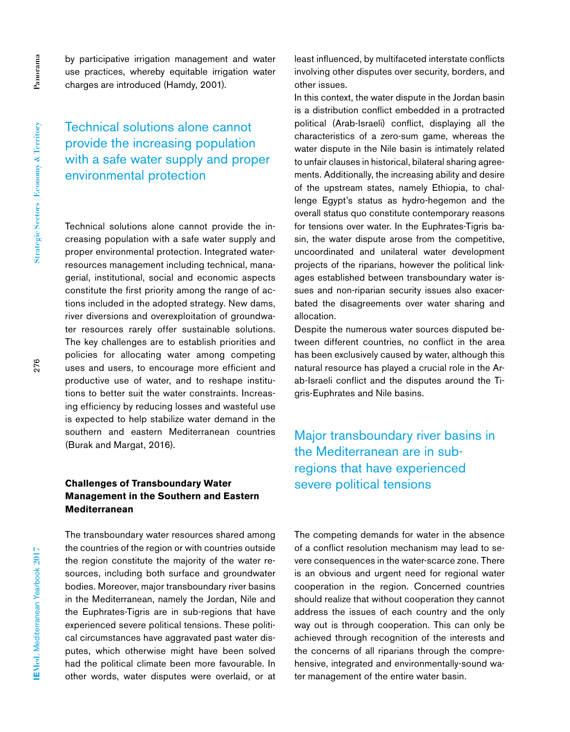**Panorama**

Panorama

by participative irrigation management and water use practices, whereby equitable irrigation water charges are introduced (Hamdy, 2001).

Technical solutions alone cannot provide the increasing population with a safe water supply and proper environmental protection

Technical solutions alone cannot provide the increasing population with a safe water supply and proper environmental protection. Integrated waterresources management including technical, managerial, institutional, social and economic aspects constitute the first priority among the range of actions included in the adopted strategy. New dams, river diversions and overexploitation of groundwater resources rarely offer sustainable solutions. The key challenges are to establish priorities and policies for allocating water among competing uses and users, to encourage more efficient and productive use of water, and to reshape institutions to better suit the water constraints. Increasing efficiency by reducing losses and wasteful use is expected to help stabilize water demand in the southern and eastern Mediterranean countries (Burak and Margat, 2016).

# **Challenges of Transboundary Water Management in the Southern and Eastern Mediterranean**

The transboundary water resources shared among the countries of the region or with countries outside the region constitute the majority of the water resources, including both surface and groundwater bodies. Moreover, major transboundary river basins in the Mediterranean, namely the Jordan, Nile and the Euphrates-Tigris are in sub-regions that have experienced severe political tensions. These political circumstances have aggravated past water disputes, which otherwise might have been solved had the political climate been more favourable. In other words, water disputes were overlaid, or at least influenced, by multifaceted interstate conflicts involving other disputes over security, borders, and other issues.

In this context, the water dispute in the Jordan basin is a distribution conflict embedded in a protracted political (Arab-Israeli) conflict, displaying all the characteristics of a zero-sum game, whereas the water dispute in the Nile basin is intimately related to unfair clauses in historical, bilateral sharing agreements. Additionally, the increasing ability and desire of the upstream states, namely Ethiopia, to challenge Egypt's status as hydro-hegemon and the overall status quo constitute contemporary reasons for tensions over water. In the Euphrates-Tigris basin, the water dispute arose from the competitive, uncoordinated and unilateral water development projects of the riparians, however the political linkages established between transboundary water issues and non-riparian security issues also exacerbated the disagreements over water sharing and allocation.

Despite the numerous water sources disputed between different countries, no conflict in the area has been exclusively caused by water, although this natural resource has played a crucial role in the Arab-Israeli conflict and the disputes around the Tigris-Euphrates and Nile basins.

Major transboundary river basins in the Mediterranean are in subregions that have experienced severe political tensions

The competing demands for water in the absence of a conflict resolution mechanism may lead to severe consequences in the water-scarce zone. There is an obvious and urgent need for regional water cooperation in the region. Concerned countries should realize that without cooperation they cannot address the issues of each country and the only way out is through cooperation. This can only be achieved through recognition of the interests and the concerns of all riparians through the comprehensive, integrated and environmentally-sound water management of the entire water basin.